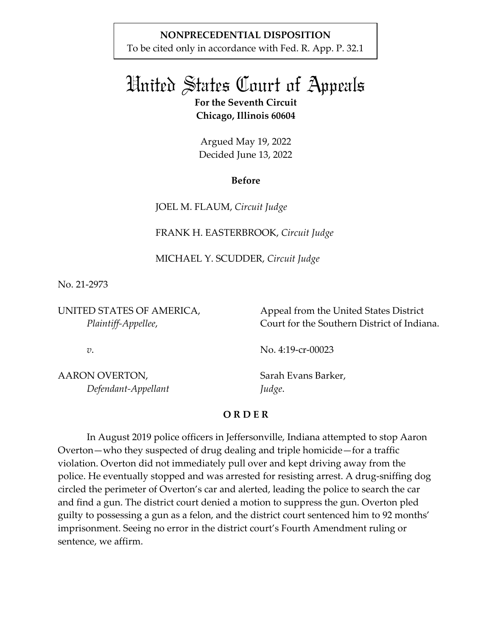## **NONPRECEDENTIAL DISPOSITION**

To be cited only in accordance with Fed. R. App. P. 32.1

# United States Court of Appeals **For the Seventh Circuit Chicago, Illinois 60604**

Argued May 19, 2022 Decided June 13, 2022

## **Before**

JOEL M. FLAUM, *Circuit Judge*

FRANK H. EASTERBROOK, *Circuit Judge*

MICHAEL Y. SCUDDER, *Circuit Judge*

No. 21-2973

UNITED STATES OF AMERICA, *Plaintiff-Appellee*,

Appeal from the United States District Court for the Southern District of Indiana.

*v*.

No. 4:19-cr-00023

AARON OVERTON, *Defendant-Appellant*

Sarah Evans Barker, *Judge*.

# **O R D E R**

In August 2019 police officers in Jeffersonville, Indiana attempted to stop Aaron Overton—who they suspected of drug dealing and triple homicide—for a traffic violation. Overton did not immediately pull over and kept driving away from the police. He eventually stopped and was arrested for resisting arrest. A drug-sniffing dog circled the perimeter of Overton's car and alerted, leading the police to search the car and find a gun. The district court denied a motion to suppress the gun. Overton pled guilty to possessing a gun as a felon, and the district court sentenced him to 92 months' imprisonment. Seeing no error in the district court's Fourth Amendment ruling or sentence, we affirm.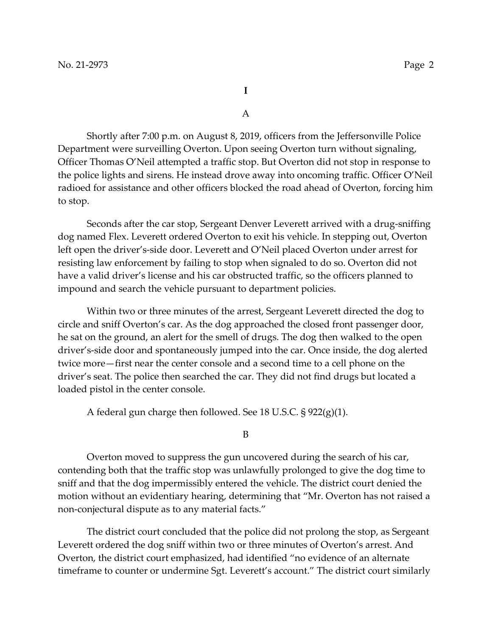**I** 

A

 Shortly after 7:00 p.m. on August 8, 2019, officers from the Jeffersonville Police Department were surveilling Overton. Upon seeing Overton turn without signaling, Officer Thomas O'Neil attempted a traffic stop. But Overton did not stop in response to the police lights and sirens. He instead drove away into oncoming traffic. Officer O'Neil radioed for assistance and other officers blocked the road ahead of Overton, forcing him to stop.

Seconds after the car stop, Sergeant Denver Leverett arrived with a drug-sniffing dog named Flex. Leverett ordered Overton to exit his vehicle. In stepping out, Overton left open the driver's-side door. Leverett and O'Neil placed Overton under arrest for resisting law enforcement by failing to stop when signaled to do so. Overton did not have a valid driver's license and his car obstructed traffic, so the officers planned to impound and search the vehicle pursuant to department policies.

Within two or three minutes of the arrest, Sergeant Leverett directed the dog to circle and sniff Overton's car. As the dog approached the closed front passenger door, he sat on the ground, an alert for the smell of drugs. The dog then walked to the open driver's-side door and spontaneously jumped into the car. Once inside, the dog alerted twice more—first near the center console and a second time to a cell phone on the driver's seat. The police then searched the car. They did not find drugs but located a loaded pistol in the center console.

A federal gun charge then followed. See 18 U.S.C. § 922(g)(1).

B

Overton moved to suppress the gun uncovered during the search of his car, contending both that the traffic stop was unlawfully prolonged to give the dog time to sniff and that the dog impermissibly entered the vehicle. The district court denied the motion without an evidentiary hearing, determining that "Mr. Overton has not raised a non-conjectural dispute as to any material facts."

The district court concluded that the police did not prolong the stop, as Sergeant Leverett ordered the dog sniff within two or three minutes of Overton's arrest. And Overton, the district court emphasized, had identified "no evidence of an alternate timeframe to counter or undermine Sgt. Leverett's account." The district court similarly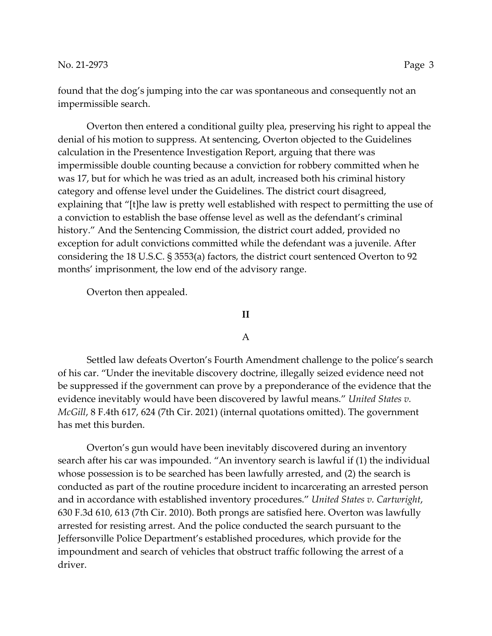found that the dog's jumping into the car was spontaneous and consequently not an impermissible search.

Overton then entered a conditional guilty plea, preserving his right to appeal the denial of his motion to suppress. At sentencing, Overton objected to the Guidelines calculation in the Presentence Investigation Report, arguing that there was impermissible double counting because a conviction for robbery committed when he was 17, but for which he was tried as an adult, increased both his criminal history category and offense level under the Guidelines. The district court disagreed, explaining that "[t]he law is pretty well established with respect to permitting the use of a conviction to establish the base offense level as well as the defendant's criminal history." And the Sentencing Commission, the district court added, provided no exception for adult convictions committed while the defendant was a juvenile. After considering the 18 U.S.C. § 3553(a) factors, the district court sentenced Overton to 92 months' imprisonment, the low end of the advisory range.

Overton then appealed.

#### **II**

### A

Settled law defeats Overton's Fourth Amendment challenge to the police's search of his car. "Under the inevitable discovery doctrine, illegally seized evidence need not be suppressed if the government can prove by a preponderance of the evidence that the evidence inevitably would have been discovered by lawful means." *United States v. McGill*, 8 F.4th 617, 624 (7th Cir. 2021) (internal quotations omitted). The government has met this burden.

Overton's gun would have been inevitably discovered during an inventory search after his car was impounded. "An inventory search is lawful if (1) the individual whose possession is to be searched has been lawfully arrested, and (2) the search is conducted as part of the routine procedure incident to incarcerating an arrested person and in accordance with established inventory procedures." *United States v. Cartwright*, 630 F.3d 610, 613 (7th Cir. 2010). Both prongs are satisfied here. Overton was lawfully arrested for resisting arrest. And the police conducted the search pursuant to the Jeffersonville Police Department's established procedures, which provide for the impoundment and search of vehicles that obstruct traffic following the arrest of a driver.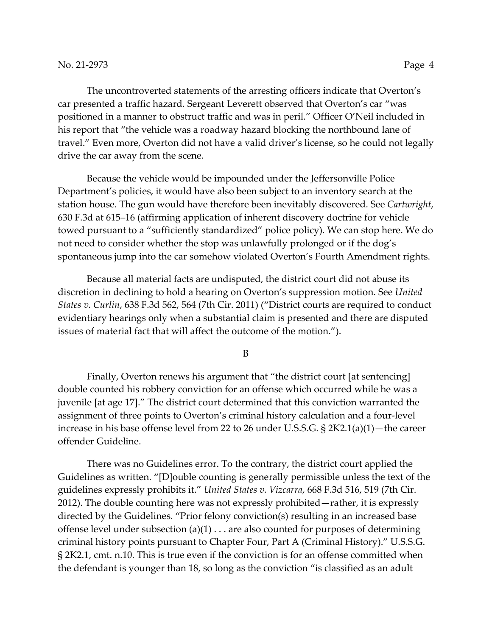The uncontroverted statements of the arresting officers indicate that Overton's car presented a traffic hazard. Sergeant Leverett observed that Overton's car "was positioned in a manner to obstruct traffic and was in peril." Officer O'Neil included in his report that "the vehicle was a roadway hazard blocking the northbound lane of travel." Even more, Overton did not have a valid driver's license, so he could not legally drive the car away from the scene.

Because the vehicle would be impounded under the Jeffersonville Police Department's policies, it would have also been subject to an inventory search at the station house. The gun would have therefore been inevitably discovered. See *Cartwright*, 630 F.3d at 615–16 (affirming application of inherent discovery doctrine for vehicle towed pursuant to a "sufficiently standardized" police policy). We can stop here. We do not need to consider whether the stop was unlawfully prolonged or if the dog's spontaneous jump into the car somehow violated Overton's Fourth Amendment rights.

Because all material facts are undisputed, the district court did not abuse its discretion in declining to hold a hearing on Overton's suppression motion. See *United States v. Curlin*, 638 F.3d 562, 564 (7th Cir. 2011) ("District courts are required to conduct evidentiary hearings only when a substantial claim is presented and there are disputed issues of material fact that will affect the outcome of the motion.").

B

Finally, Overton renews his argument that "the district court [at sentencing] double counted his robbery conviction for an offense which occurred while he was a juvenile [at age 17]." The district court determined that this conviction warranted the assignment of three points to Overton's criminal history calculation and a four-level increase in his base offense level from 22 to 26 under U.S.S.G. § 2K2.1(a)(1)—the career offender Guideline.

There was no Guidelines error. To the contrary, the district court applied the Guidelines as written. "[D]ouble counting is generally permissible unless the text of the guidelines expressly prohibits it." *United States v. Vizcarra*, 668 F.3d 516, 519 (7th Cir. 2012). The double counting here was not expressly prohibited—rather, it is expressly directed by the Guidelines. "Prior felony conviction(s) resulting in an increased base offense level under subsection  $(a)(1) \ldots$  are also counted for purposes of determining criminal history points pursuant to Chapter Four, Part A (Criminal History)." U.S.S.G. § 2K2.1, cmt. n.10. This is true even if the conviction is for an offense committed when the defendant is younger than 18, so long as the conviction "is classified as an adult